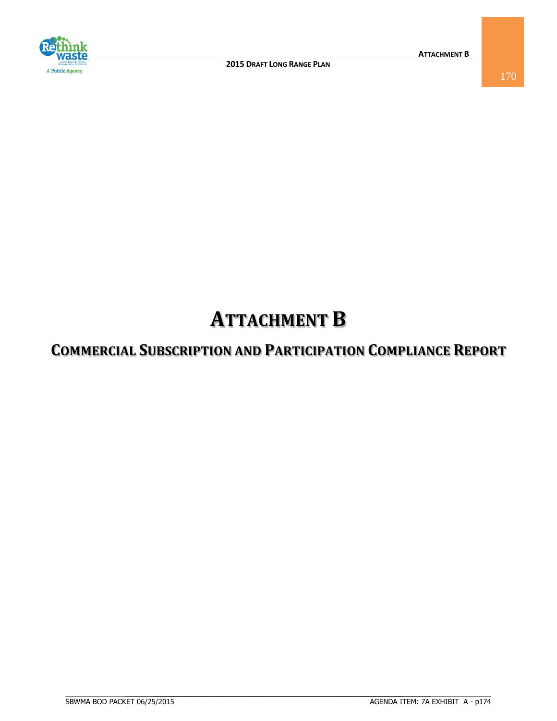

## **ATTACHMENT B**

## **COMMERCIAL SUBSCRIPTION AND PARTICIPATION COMPLIANCE REPORT**